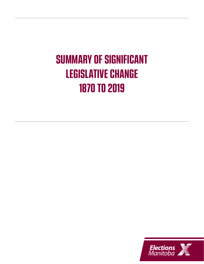# **SUMMARY OF SIGNIFICANT LEGISLATIVE CHANGE 1870 TO 2019**

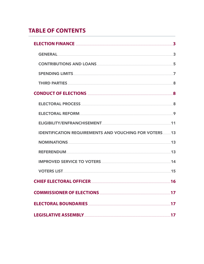# **TABLE OF CONTENTS**

| ELECTION FINANCE 3                                                                                             |    |
|----------------------------------------------------------------------------------------------------------------|----|
|                                                                                                                |    |
| CONTRIBUTIONS AND LOANS <b>Example 20</b> STATE 35                                                             |    |
|                                                                                                                |    |
| THIRD PARTIES 38                                                                                               |    |
| CONDUCT OF ELECTIONS AND RESIDENCE AND RESIDENCE ASSESSMENT RANGE AND RESIDENCE ASSESSMENT RANGE AND RESIDENCE |    |
| ELECTORAL PROCESS <b>ELECTORAL</b> PROCESS <b>And the SECTORAL</b>                                             |    |
|                                                                                                                |    |
|                                                                                                                |    |
| <b>IDENTIFICATION REQUIREMENTS AND VOUCHING FOR VOTERS13</b>                                                   |    |
|                                                                                                                |    |
|                                                                                                                |    |
| <b>IMPROVED SERVICE TO VOTERS And ACCEPTED AT A 14 YO F REAL PROVED SERVICE TO VOTERS</b>                      |    |
|                                                                                                                |    |
| CHIEF ELECTORAL OFFICER                                                                                        | 16 |
|                                                                                                                |    |
| ELECTORAL BOUNDARIES <b>External of the CONTRACTORAL</b>                                                       | 17 |
| LEGISLATIVE ASSEMBLY                                                                                           | 17 |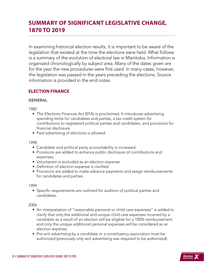# <span id="page-2-0"></span>**SUMMARY OF SIGNIFICANT LEGISLATIVE CHANGE, 1870 TO 2019**

In examining historical election results, it is important to be aware of the legislation that existed at the time the elections were held. What follows is a summary of the evolution of electoral law in Manitoba. Information is organized chronologically by subject area. Many of the dates given are for the year the new procedures were first used. In many cases, however, the legislation was passed in the years preceding the elections. Source information is provided in the end notes.

# **ELECTION FINANCE**

## **GENERAL**

1980

- *The Elections Finances Act* (EFA) is proclaimed. It introduces advertising spending limits for candidates and parties, a tax credit system for contributions to registered political parties and candidates, and provisions for financial disclosure.
- Paid advertising of elections is allowed.

1998

- Candidate and political party accountability is increased.
- Provisions are added to enhance public disclosure of contributions and expenses.
- Voluntarism is excluded as an election expense.
- Definition of election expense is clarified.
- Provisions are added to make advance payments and assign reimbursements for candidates and parties.

1999

• Specific requirements are outlined for auditors of political parties and candidates.

- An interpretation of "reasonable personal or child care expenses" is added to clarify that only the additional and unique child care expenses incurred by a candidate as a result of an election will be eligible for a 100% reimbursement and only the unique additional personal expenses will be considered as an election expense.
- Pre-writ advertising by a candidate or a constituency association must be authorized (previously only writ advertising was required to be authorized).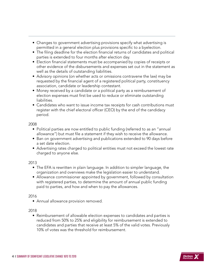- Changes to government advertising provisions specify what advertising is permitted in a general election plus provisions specific to a byelection.
- The filing deadline for the election financial returns of candidates and political parties is extended to four months after election day.
- Election financial statements must be accompanied by copies of receipts or other evidence of the disbursements and expenses set out in the statement as well as the details of outstanding liabilities.
- Advisory opinions (on whether acts or omissions contravene the law) may be requested by the financial agent of a registered political party, constituency association, candidate or leadership contestant.
- Money received by a candidate or a political party as a reimbursement of election expenses must first be used to reduce or eliminate outstanding liabilities.
- Candidates who want to issue income tax receipts for cash contributions must register with the chief electoral officer (CEO) by the end of the candidacy period.

- Political parties are now entitled to public funding (referred to as an "annual allowance") but must file a statement if they wish to receive the allowance.
- Ban on government advertising and publications extended to 90 days before a set date election.
- Advertising rates charged to political entities must not exceed the lowest rate charged to anyone else.

# 2013

- The EFA is rewritten in plain language. In addition to simpler language, the organization and overviews make the legislation easier to understand.
- Allowance commissioner appointed by government, followed by consultation with registered parties, to determine the amount of annual public funding paid to parties, and how and when to pay the allowances.

# 2016

• Annual allowance provision removed.

# 2018

• Reimbursement of allowable election expenses to candidates and parties is reduced from 50% to 25% and eligibility for reimbursement is extended to candidates and parties that receive at least 5% of the valid votes. Previously 10% of votes was the threshold for reimbursement.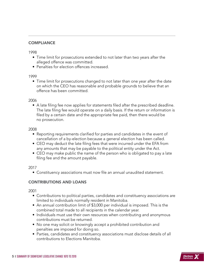# <span id="page-4-0"></span>**COMPLIANCE**

1998

- Time limit for prosecutions extended to not later than two years after the alleged offence was committed.
- Penalties for election offences increased.

1999

• Time limit for prosecutions changed to not later than one year after the date on which the CEO has reasonable and probable grounds to believe that an offence has been committed.

2006

• A late filing fee now applies for statements filed after the prescribed deadline. The late filing fee would operate on a daily basis. If the return or information is filed by a certain date and the appropriate fee paid, then there would be no prosecution.

2008

- Reporting requirements clarified for parties and candidates in the event of cancellation of a by-election because a general election has been called.
- CEO may deduct the late filing fees that were incurred under the EFA from any amounts that may be payable to the political entity under the Act.
- CEO may make public the name of the person who is obligated to pay a late filing fee and the amount payable.

2017

• Constituency associations must now file an annual unaudited statement.

# CONTRIBUTIONS AND LOANS

- Contributions to political parties, candidates and constituency associations are limited to individuals normally resident in Manitoba.
- An annual contribution limit of \$3,000 per individual is imposed. This is the combined total made to all recipients in the calendar year.
- Individuals must use their own resources when contributing and anonymous contributions must be returned.
- No one may solicit or knowingly accept a prohibited contribution and penalties are imposed for doing so.
- Parties, candidates and constituency associations must disclose details of all contributions to Elections Manitoba.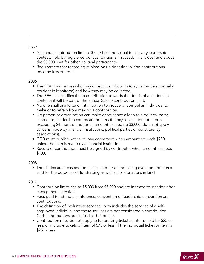- An annual contribution limit of \$3,000 per individual to all party leadership contests held by registered political parties is imposed. This is over and above the \$3,000 limit for other political participants.
- Requirements for recording minimal value donation in kind contributions become less onerous.

## 2006

- The EFA now clarifies who may collect contributions (only individuals normally resident in Manitoba) and how they may be collected.
- The EFA also clarifies that a contribution towards the deficit of a leadership contestant will be part of the annual \$3,000 contribution limit.
- No one shall use force or intimidation to induce or compel an individual to make or to refrain from making a contribution.
- No person or organization can make or refinance a loan to a political party, candidate, leadership contestant or constituency association for a term exceeding 24 months and for an amount exceeding \$3,000 (does not apply to loans made by financial institutions, political parties or constituency associations).
- CEO must publish notice of loan agreement when amount exceeds \$250, unless the loan is made by a financial institution.
- Record of contribution must be signed by contributor when amount exceeds \$100.

# 2008

• Thresholds are increased on tickets sold for a fundraising event and on items sold for the purposes of fundraising as well as for donations in kind.

- Contribution limits rise to \$5,000 from \$3,000 and are indexed to inflation after each general election.
- Fees paid to attend a conference, convention or leadership convention are contributions.
- The definition of "volunteer services" now includes the services of a selfemployed individual and those services are not considered a contribution. Cash contributions are limited to \$25 or less.
- Contribution rules do not apply to fundraising tickets or items sold for \$25 or less, or multiple tickets of item of \$75 or less, if the individual ticket or item is \$25 or less.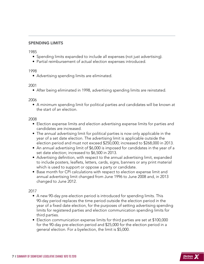#### <span id="page-6-0"></span>SPENDING LIMITS

1985

- Spending limits expanded to include all expenses (not just advertising).
- Partial reimbursement of actual election expenses introduced.

#### 1998

• Advertising spending limits are eliminated.

#### 2001

• After being eliminated in 1998, advertising spending limits are reinstated.

#### 2006

• A minimum spending limit for political parties and candidates will be known at the start of an election.

#### 2008

- Election expense limits and election advertising expense limits for parties and candidates are increased.
- The annual advertising limit for political parties is now only applicable in the year of a set date election. The advertising limit is applicable outside the election period and must not exceed \$250,000; increased to \$268,000 in 2013.
- An annual advertising limit of \$6,000 is imposed for candidates in the year of a set date election; increased to \$6,500 in 2013.
- Advertising definition, with respect to the annual advertising limit, expanded to include posters, leaflets, letters, cards, signs, banners or any print material which is used to support or oppose a party or candidate.
- Base month for CPI calculations with respect to election expense limit and annual advertising limit changed from June 1996 to June 2008 and, in 2013 changed to June 2012.

- A new 90-day pre-election period is introduced for spending limits. This 90-day period replaces the time period outside the election period in the year of a fixed date election, for the purposes of setting advertising spending limits for registered parties and election communication spending limits for third parties.
- Election communication expense limits for third parties are set at \$100,000 for the 90-day pre-election period and \$25,000 for the election period in a general election. For a byelection, the limit is \$5,000.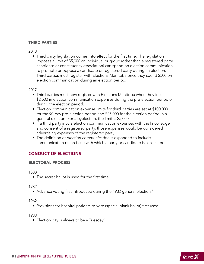# <span id="page-7-0"></span>THIRD PARTIES

2013

• Third party legislation comes into effect for the first time. The legislation imposes a limit of \$5,000 an individual or group (other than a registered party, candidate or constituency association) can spend on election communication to promote or oppose a candidate or registered party during an election. Third parties must register with Elections Manitoba once they spend \$500 on election communication during an election period.

2017

- Third parties must now register with Elections Manitoba when they incur \$2,500 in election communication expenses during the pre-election period or during the election period.
- Election communication expense limits for third parties are set at \$100,000 for the 90-day pre-election period and \$25,000 for the election period in a general election. For a byelection, the limit is \$5,000.
- If a third party incurs election communication expenses with the knowledge and consent of a registered party, those expenses would be considered advertising expenses of the registered party.
- The definition of *election communication* is expanded to include communication on an issue with which a party or candidate is associated.

# **CONDUCT OF ELECTIONS**

# ELECTORAL PROCESS

1888

• The secret ballot is used for the first time.

1932

• Advance voting first introduced during the 1932 general election.<sup>1</sup>

1962

• Provisions for hospital patients to vote (special blank ballot) first used.

1983

• Election day is always to be a Tuesday.<sup>2</sup>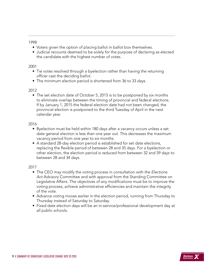- <span id="page-8-0"></span>• Voters given the option of placing ballot in ballot box themselves.
- Judicial recounts deemed to be solely for the purpose of declaring as elected the candidate with the highest number of votes.

# 2001

- Tie votes resolved through a byelection rather than having the returning officer cast the deciding ballot.
- The minimum election period is shortened from 36 to 33 days.

# 2012

• The set election date of October 5, 2015 is to be postponed by six months to eliminate overlap between the timing of provincial and federal elections. If by January 1, 2015 the federal election date had not been changed, the provincial election is postponed to the third Tuesday of April in the next calendar year.

# 2016

- Byelection must be held within 180 days after a vacancy occurs unless a set date general election is less than one year out. This decreases the maximum vacancy period from one year to six months.
- A standard 28-day election period is established for set date elections, replacing the flexible period of between 28 and 35 days. For a byelection or other election, the election period is reduced from between 32 and 39 days to between 28 and 34 days.

- The CEO may modify the voting process in consultation with the *Elections Act* Advisory Committee and with approval from the Standing Committee on Legislative Affairs. The objectives of any modifications must be to improve the voting process, achieve administrative efficiencies and maintain the integrity of the vote.
- Advance voting moves earlier in the election period, running from Thursday to Thursday instead of Saturday to Saturday.
- Fixed date election days will be an in-service/professional development day at all public schools.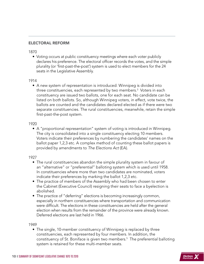#### ELECTORAL REFORM

#### 1870

• Voting occurs at public constituency meetings where each voter publicly declares his preference. The electoral officer records the votes, and the simple plurality (or 'first-past-the-post') system is used to elect members for the 24 seats in the Legislative Assembly.

#### 1914

• A new system of representation is introduced: Winnipeg is divided into three constituencies, each represented by two members.3 Voters in each constituency are issued two ballots, one for each seat. No candidate can be listed on both ballots. So, although Winnipeg voters, in effect, vote twice, the ballots are counted and the candidates declared elected as if there were two separate constituencies. The rural constituencies, meanwhile, retain the simple first-past-the-post system.

#### 1920

• A "proportional representation" system of voting is introduced in Winnipeg. The city is consolidated into a single constituency electing 10 members. Voters indicate their preferences by numbering the candidates' names on the ballot paper 1,2,3 etc. A complex method of counting these ballot papers is provided by amendments to *The Elections Act* (EA).

#### 1927

- The rural constituencies abandon the simple plurality system in favour of an "alternative" or "preferential" balloting system which is used until 1958. In constituencies where more than two candidates are nominated, voters indicate their preferences by marking the ballot 1,2,3 etc.
- The practice of members of the Assembly who had been chosen to enter the Cabinet (Executive Council) resigning their seats to face a byelection is abolished.
- The practice of "deferring" elections is becoming increasingly common, especially in northern constituencies where transportation and communication were difficult. The elections in these constituencies are held after the general election when results from the remainder of the province were already known. Deferred elections are last held in 1966.

#### 1949

• The single, 10-member constituency of Winnipeg is replaced by three constituencies, each represented by four members. In addition, the constituency of St. Boniface is given two members.<sup>5</sup> The preferential balloting system is retained for these multi-member seats.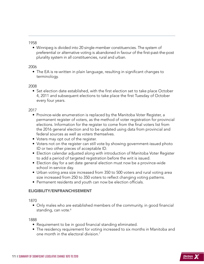<span id="page-10-0"></span>• Winnipeg is divided into 20 single-member constituencies. The system of preferential or alternative voting is abandoned in favour of the first-past-the-post plurality system in all constituencies, rural and urban.

#### 2006

• The EA is re-written in plain language, resulting in significant changes to terminology.

#### 2008

• Set election date established, with the first election set to take place October 4, 2011 and subsequent elections to take place the first Tuesday of October every four years.

#### 2017

- Province-wide enumeration is replaced by the Manitoba Voter Register, a permanent register of voters, as the method of voter registration for provincial elections. Information for the register to come from the final voters list from the 2016 general election and to be updated using data from provincial and federal sources as well as voters themselves.
- Voters may opt out of the register.
- Voters not on the register can still vote by showing government-issued photo ID or two other pieces of acceptable ID.
- Election calendar adjusted along with introduction of Manitoba Voter Register to add a period of targeted registration before the writ is issued.
- Election day for a set date general election must now be a province-wide school in-service day.
- Urban voting area size increased from 350 to 500 voters and rural voting area size increased from 250 to 350 voters to reflect changing voting patterns.
- Permanent residents and youth can now be election officials.

# ELIGIBILITY/ENFRANCHISEMENT

#### 1870

• Only males who are established members of the community, in good financial standing, can vote.<sup>6</sup>

- Requirement to be in good financial standing eliminated.
- The residency requirement for voting increased to six months in Manitoba and one month in the electoral division.7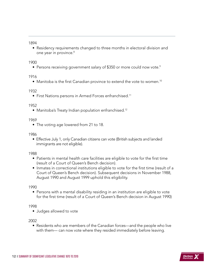• Residency requirements changed to three months in electoral division and one year in province.<sup>8</sup>

#### 1900

• Persons receiving government salary of \$350 or more could now vote.<sup>9</sup>

1916

• Manitoba is the first Canadian province to extend the vote to women.10

1932

• First Nations persons in Armed Forces enfranchised.<sup>11</sup>

#### 1952

• Manitoba's Treaty Indian population enfranchised.<sup>12</sup>

1969

• The voting age lowered from 21 to 18.

#### 1986

• Effective July 1, only Canadian citizens can vote (British subjects and landed immigrants are not eligible).

1988

- Patients in mental health care facilities are eligible to vote for the first time (result of a Court of Queen's Bench decision).
- Inmates in correctional institutions eligible to vote for the first time (result of a Court of Queen's Bench decision). Subsequent decisions in November 1988, August 1990 and August 1999 uphold this eligibility.

1990

• Persons with a mental disability residing in an institution are eligible to vote for the first time (result of a Court of Queen's Bench decision in August 1990)

1998

• Judges allowed to vote

2002

• Residents who are members of the Canadian forces—and the people who live with them— can now vote where they resided immediately before leaving.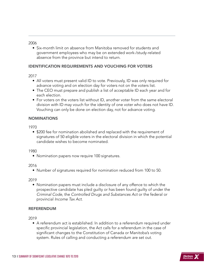<span id="page-12-0"></span>• Six-month limit on absence from Manitoba removed for students and government employees who may be on extended work-/study-related absence from the province but intend to return.

# IDENTIFICATION REQUIREMENTS AND VOUCHING FOR VOTERS

## 2017

- All voters must present valid ID to vote. Previously, ID was only required for advance voting and on election day for voters not on the voters list.
- The CEO must prepare and publish a list of acceptable ID each year and for each election.
- For voters on the voters list without ID, another voter from the same electoral division with ID may vouch for the identity of one voter who does not have ID. Vouching can only be done on election day, not for advance voting.

# NOMINATIONS

1970

• \$200 fee for nomination abolished and replaced with the requirement of signatures of 50 eligible voters in the electoral division in which the potential candidate wishes to become nominated.

#### 1980

• Nomination papers now require 100 signatures.

2016

• Number of signatures required for nomination reduced from 100 to 50.

2019

• Nomination papers must include a disclosure of any offence to which the prospective candidate has pled guilty or has been found guilty of under the *Criminal Code*, the *Controlled Drugs and Substances Act* or the federal or provincial *Income Tax Act*.

# REFERENDUM

2019

• A referendum act is established. In addition to a referendum required under specific provincial legislation, the Act calls for a referendum in the case of significant changes to the Constitution of Canada or Manitoba's voting system. Rules of calling and conducting a referendum are set out.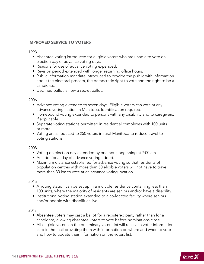# <span id="page-13-0"></span>IMPROVED SERVICE TO VOTERS

1998

- Absentee voting introduced for eligible voters who are unable to vote on election day or advance voting days.
- Reasons for use of advance voting expanded.
- Revision period extended with longer returning office hours.
- Public information mandate introduced to provide the public with information about the electoral process, the democratic right to vote and the right to be a candidate.
- Declined ballot is now a secret ballot.

2006

- Advance voting extended to seven days. Eligible voters can vote at any advance voting station in Manitoba. Identification required.
- Homebound voting extended to persons with any disability and to caregivers, if applicable.
- Separate voting stations permitted in residential complexes with 100 units or more.
- Voting areas reduced to 250 voters in rural Manitoba to reduce travel to voting stations.

2008

- Voting on election day extended by one hour, beginning at 7:00 am.
- An additional day of advance voting added.
- Maximum distance established for advance voting so that residents of population centres with more than 50 eligible voters will not have to travel more than 30 km to vote at an advance voting location.

2015

- A voting station can be set up in a multiple residence containing less than 100 units, where the majority of residents are seniors and/or have a disability.
- Institutional voting station extended to a co-located facility where seniors and/or people with disabilities live.

- Absentee voters may cast a ballot for a registered party rather than for a candidate, allowing absentee voters to vote before nominations close.
- All eligible voters on the preliminary voters list will receive a voter information card in the mail providing them with information on where and when to vote and how to update their information on the voters list.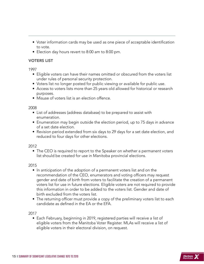- <span id="page-14-0"></span>• Voter information cards may be used as one piece of acceptable identification to vote.
- Election day hours revert to 8:00 am to 8:00 pm.

# VOTERS LIST

1997

- Eligible voters can have their names omitted or obscured from the voters list under rules of personal security protection.
- Voters list no longer posted for public viewing or available for public use.
- Access to voters lists more than 25 years old allowed for historical or research purposes.
- Misuse of voters list is an election offence.

2008

- List of addresses (address database) to be prepared to assist with enumeration.
- Enumeration may begin outside the election period, up to 75 days in advance of a set date election.
- Revision period extended from six days to 29 days for a set date election, and reduced to four days for other elections.

2012

• The CEO is required to report to the Speaker on whether a permanent voters list should be created for use in Manitoba provincial elections.

2015

- In anticipation of the adoption of a permanent voters list and on the recommendation of the CEO, enumerators and voting officers may request gender and date of birth from voters to facilitate the creation of a permanent voters list for use in future elections. Eligible voters are not required to provide this information in order to be added to the voters list. Gender and date of birth excluded from the voters list.
- The returning officer must provide a copy of the preliminary voters list to each candidate as defined in the EA or the EFA.

2017

• Each February, beginning in 2019, registered parties will receive a list of eligible voters from the Manitoba Voter Register. MLAs will receive a list of eligible voters in their electoral division, on request.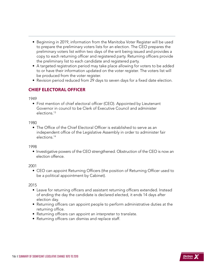- <span id="page-15-0"></span>• Beginning in 2019, information from the Manitoba Voter Register will be used to prepare the preliminary voters lists for an election. The CEO prepares the preliminary voters list within two days of the writ being issued and provides a copy to each returning officer and registered party. Returning officers provide the preliminary list to each candidate and registered party.
- A targeted registration period may take place allowing for voters to be added to or have their information updated on the voter register. The voters list will be produced from the voter register.
- Revision period reduced from 29 days to seven days for a fixed date election.

# **CHIEF ELECTORAL OFFICER**

1949

• First mention of chief electoral officer (CEO). Appointed by Lieutenant Governor in council to be Clerk of Executive Council and administer elections.13

1980

• The Office of the Chief Electoral Officer is established to serve as an independent office of the Legislative Assembly in order to administer fair elections.14

1998

• Investigative powers of the CEO strengthened. Obstruction of the CEO is now an election offence.

2001

• CEO can appoint Returning Officers (the position of Returning Officer used to be a political appointment by Cabinet).

- Leave for returning officers and assistant returning officers extended. Instead of ending the day the candidate is declared elected, it ends 14 days after election day.
- Returning officers can appoint people to perform administrative duties at the returning office.
- Returning officers can appoint an interpreter to translate.
- Returning officers can dismiss and replace staff.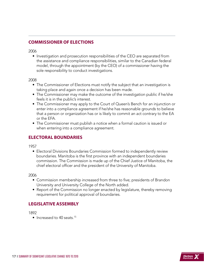# <span id="page-16-0"></span>**COMMISSIONER OF ELECTIONS**

2006

• Investigation and prosecution responsibilities of the CEO are separated from the assistance and compliance responsibilities, similar to the Canadian federal model, through the appointment (by the CEO) of a commissioner having the sole responsibility to conduct investigations.

#### 2008

- The Commissioner of Elections must notify the subject that an investigation is taking place and again once a decision has been made.
- The Commissioner may make the outcome of the investigation public if he/she feels it is in the public's interest.
- The Commissioner may apply to the Court of Queen's Bench for an injunction or enter into a compliance agreement if he/she has reasonable grounds to believe that a person or organization has or is likely to commit an act contrary to the EA or the EFA.
- The Commissioner must publish a notice when a formal caution is issued or when entering into a compliance agreement.

# **ELECTORAL BOUNDARIES**

1957

• Electoral Divisions Boundaries Commission formed to independently review boundaries. Manitoba is the first province with an independent boundaries commission. The Commission is made up of the Chief Justice of Manitoba, the chief electoral officer and the president of the University of Manitoba.

2006

- Commission membership increased from three to five; presidents of Brandon University and University College of the North added.
- Report of the Commission no longer enacted by legislature, thereby removing requirement for political approval of boundaries.

# **LEGISLATIVE ASSEMBLY**

1892

• Increased to 40 seats.<sup>15</sup>